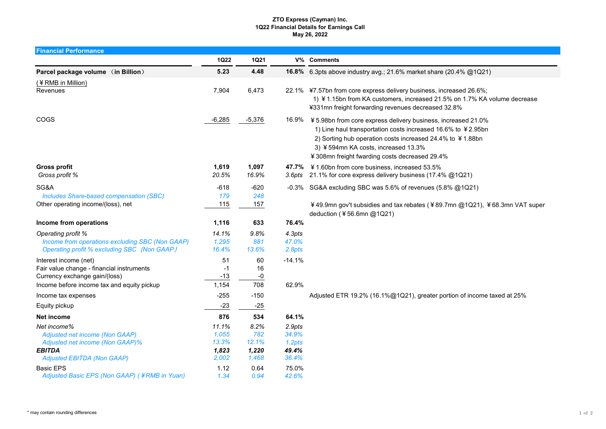## ZTO Express (Cayman) Inc. 1Q22 Financial Details for Earnings Call May 26, 2022

| <b>Financial Performance</b>                                                                                                           |                                           |                                        |                                             |                                                                                                                                                                                                                                                                                          |
|----------------------------------------------------------------------------------------------------------------------------------------|-------------------------------------------|----------------------------------------|---------------------------------------------|------------------------------------------------------------------------------------------------------------------------------------------------------------------------------------------------------------------------------------------------------------------------------------------|
|                                                                                                                                        | <b>1Q22</b>                               | <b>1Q21</b>                            |                                             | V% Comments                                                                                                                                                                                                                                                                              |
| Parcel package volume (in Billion)                                                                                                     | 5.23                                      | 4.48                                   |                                             | 16.8% 6.3pts above industry avg.; 21.6% market share (20.4% @1Q21)                                                                                                                                                                                                                       |
| (¥RMB in Million)<br>Revenues                                                                                                          | 7,904                                     | 6,473                                  |                                             | 22.1% ¥7.57bn from core express delivery business, increased 26.6%;<br>1) ¥ 1.15bn from KA customers, increased 21.5% on 1.7% KA volume decrease<br>¥331mn freight forwarding revenues decreased 32.8%                                                                                   |
| COGS                                                                                                                                   | $-6,285$                                  | $-5,376$                               |                                             | 16.9% ¥ 5.98bn from core express delivery business, increased 21.0%<br>1) Line haul transportation costs increased 16.6% to ¥2.95bn<br>2) Sorting hub operation costs increased 24.4% to ¥1.88bn<br>3) ¥594mn KA costs, increased 13.3%<br>¥308mn freight fwarding costs decreased 29.4% |
| <b>Gross profit</b><br>Gross profit %                                                                                                  | 1,619<br>20.5%                            | 1,097<br>16.9%                         | 3.6pts                                      | 47.7% ¥ 1.60bn from core business, increased 53.5%<br>21.1% for core express delivery business (17.4% @1Q21)                                                                                                                                                                             |
| SG&A                                                                                                                                   | $-618$                                    | $-620$                                 |                                             | -0.3% SG&A excluding SBC was 5.6% of revenues (5.8% @1Q21)                                                                                                                                                                                                                               |
| Includes Share-based compensation (SBC)                                                                                                | 179                                       | 248                                    |                                             |                                                                                                                                                                                                                                                                                          |
| Other operating income/(loss), net                                                                                                     | 115                                       | 157                                    |                                             | ¥49.9mn gov't subsidies and tax rebates (¥89.7mn @1Q21), ¥68.3mn VAT super<br>deduction (¥56.6mn @1Q21)                                                                                                                                                                                  |
| Income from operations                                                                                                                 | 1,116                                     | 633                                    | 76.4%                                       |                                                                                                                                                                                                                                                                                          |
| Operating profit %<br>Income from operations excluding SBC (Non GAAP)<br><b>Operating profit % excluding SBC (Non GAAP)</b>            | 14.1%<br>1,295<br>16.4%                   | 9.8%<br>881<br>13.6%                   | 4.3pts<br>47.0%<br>2.8pts                   |                                                                                                                                                                                                                                                                                          |
| Interest income (net)                                                                                                                  | 51                                        | 60                                     | $-14.1%$                                    |                                                                                                                                                                                                                                                                                          |
| Fair value change - financial instruments                                                                                              | $-1$                                      | 16                                     |                                             |                                                                                                                                                                                                                                                                                          |
| Currency exchange gain/(loss)<br>Income before income tax and equity pickup                                                            | $-13$<br>1,154                            | -0<br>708                              | 62.9%                                       |                                                                                                                                                                                                                                                                                          |
| Income tax expenses                                                                                                                    | $-255$                                    | $-150$                                 |                                             | Adjusted ETR 19.2% (16.1%@1Q21), greater portion of income taxed at 25%                                                                                                                                                                                                                  |
| Equity pickup                                                                                                                          | $-23$                                     | $-25$                                  |                                             |                                                                                                                                                                                                                                                                                          |
| Net income                                                                                                                             | 876                                       | 534                                    | 64.1%                                       |                                                                                                                                                                                                                                                                                          |
| Net income%<br>Adjusted net income (Non GAAP)<br>Adjusted net income (Non GAAP)%<br><b>EBITDA</b><br><b>Adjusted EBITDA (Non GAAP)</b> | 11.1%<br>1.055<br>13.3%<br>1,823<br>2,002 | 8.2%<br>782<br>12.1%<br>1,220<br>1,468 | 2.9pts<br>34.9%<br>1.2pts<br>49.4%<br>36.4% |                                                                                                                                                                                                                                                                                          |
| <b>Basic EPS</b><br>Adjusted Basic EPS (Non GAAP) (¥RMB in Yuan)                                                                       | 1.12<br>1.34                              | 0.64<br>0.94                           | 75.0%<br>42.6%                              |                                                                                                                                                                                                                                                                                          |